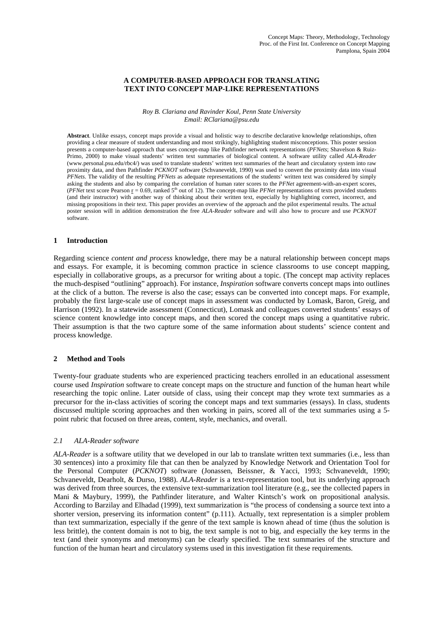# **A COMPUTER-BASED APPROACH FOR TRANSLATING TEXT INTO CONCEPT MAP-LIKE REPRESENTATIONS**

#### *Roy B. Clariana and Ravinder Koul, Penn State University Email: RClariana@psu.edu*

**Abstract**. Unlike essays, concept maps provide a visual and holistic way to describe declarative knowledge relationships, often providing a clear measure of student understanding and most strikingly, highlighting student misconceptions. This poster session presents a computer-based approach that uses concept-map like Pathfinder network representations (*PFNets*; Shavelson & Ruiz-Primo, 2000) to make visual students' written text summaries of biological content. A software utility called *ALA-Reader* (www.personal.psu.edu/rbc4/) was used to translate students' written text summaries of the heart and circulatory system into raw proximity data, and then Pathfinder *PCKNOT* software (Schvaneveldt, 1990) was used to convert the proximity data into visual *PFNets*. The validity of the resulting *PFNets* as adequate representations of the students' written text was considered by simply asking the students and also by comparing the correlation of human rater scores to the *PFNet* agreement-with-an-expert scores, (*PFNet* text score Pearson  $r = 0.69$ , ranked  $5<sup>th</sup>$  out of 12). The concept-map like *PFNet* representations of texts provided students (and their instructor) with another way of thinking about their written text, especially by highlighting correct, incorrect, and missing propositions in their text. This paper provides an overview of the approach and the pilot experimental results. The actual poster session will in addition demonstration the free *ALA-Reader* software and will also how to procure and use *PCKNOT* software.

### **1 Introduction**

Regarding science *content and process* knowledge, there may be a natural relationship between concept maps and essays. For example, it is becoming common practice in science classrooms to use concept mapping, especially in collaborative groups, as a precursor for writing about a topic. (The concept map activity replaces the much-despised "outlining" approach). For instance, *Inspiration* software converts concept maps into outlines at the click of a button. The reverse is also the case; essays can be converted into concept maps. For example, probably the first large-scale use of concept maps in assessment was conducted by Lomask, Baron, Greig, and Harrison (1992). In a statewide assessment (Connecticut), Lomask and colleagues converted students' essays of science content knowledge into concept maps, and then scored the concept maps using a quantitative rubric. Their assumption is that the two capture some of the same information about students' science content and process knowledge.

### **2 Method and Tools**

Twenty-four graduate students who are experienced practicing teachers enrolled in an educational assessment course used *Inspiration* software to create concept maps on the structure and function of the human heart while researching the topic online. Later outside of class, using their concept map they wrote text summaries as a precursor for the in-class activities of scoring the concept maps and text summaries (essays). In class, students discussed multiple scoring approaches and then working in pairs, scored all of the text summaries using a 5 point rubric that focused on three areas, content, style, mechanics, and overall.

### *2.1 ALA-Reader software*

*ALA-Reader* is a software utility that we developed in our lab to translate written text summaries (i.e., less than 30 sentences) into a proximity file that can then be analyzed by Knowledge Network and Orientation Tool for the Personal Computer (*PCKNOT*) software (Jonassen, Beissner, & Yacci, 1993; Schvaneveldt, 1990; Schvaneveldt, Dearholt, & Durso, 1988). *ALA-Reader* is a text-representation tool, but its underlying approach was derived from three sources, the extensive text-summarization tool literature (e.g., see the collected papers in Mani & Maybury, 1999), the Pathfinder literature, and Walter Kintsch's work on propositional analysis. According to Barzilay and Elhadad (1999), text summarization is "the process of condensing a source text into a shorter version, preserving its information content" (p.111). Actually, text representation is a simpler problem than text summarization, especially if the genre of the text sample is known ahead of time (thus the solution is less brittle), the content domain is not to big, the text sample is not to big, and especially the key terms in the text (and their synonyms and metonyms) can be clearly specified. The text summaries of the structure and function of the human heart and circulatory systems used in this investigation fit these requirements.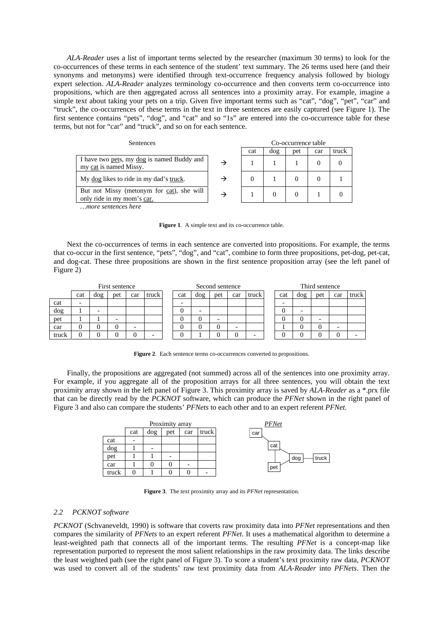*ALA-Reader* uses a list of important terms selected by the researcher (maximum 30 terms) to look for the co-occurrences of these terms in each sentence of the student' text summary. The 26 terms used here (and their synonyms and metonyms) were identified through text-occurrence frequency analysis followed by biology expert selection. *ALA-Reader* analyzes terminology co-occurrence and then converts term co-occurrence into propositions, which are then aggregated across all sentences into a proximity array. For example, imagine a simple text about taking your pets on a trip. Given five important terms such as "cat", "dog", "pet", "car" and "truck", the co-occurrences of these terms in the text in three sentences are easily captured (see Figure 1). The first sentence contains "pets", "dog", and "cat" and so "1s" are entered into the co-occurrence table for these terms, but not for "car" and "truck", and so on for each sentence.

| <b>Sentences</b>                                                        |   | Co-occurrence table |     |     |     |       |  |
|-------------------------------------------------------------------------|---|---------------------|-----|-----|-----|-------|--|
|                                                                         |   | cat                 | dog | pet | car | truck |  |
| I have two pets, my dog is named Buddy and<br>my cat is named Missy.    | → |                     |     |     |     |       |  |
| My dog likes to ride in my dad's truck.                                 | → |                     |     |     |     |       |  |
| But not Missy (metonym for cat), she will<br>only ride in my mom's car. | → |                     |     |     |     |       |  |
| more sentences here                                                     |   |                     |     |     |     |       |  |

Figure 1. A simple text and its co-occurrence table.

Next the co-occurrences of terms in each sentence are converted into propositions. For example, the terms that co-occur in the first sentence, "pets", "dog", and "cat", combine to form three propositions, pet-dog, pet-cat, and dog-cat. These three propositions are shown in the first sentence proposition array (see the left panel of Figure 2)

|       | First sentence |     |     |     |       | Second sentence |     |     |                          |       |  | Third sentence |     |     |     |       |
|-------|----------------|-----|-----|-----|-------|-----------------|-----|-----|--------------------------|-------|--|----------------|-----|-----|-----|-------|
|       | cat            | dog | pet | car | truck | cat             | dog | pet | car                      | truck |  | cat            | dog | pet | car | truck |
| cat   |                |     |     |     |       |                 |     |     |                          |       |  |                |     |     |     |       |
| dog   |                | -   |     |     |       |                 | ۰   |     |                          |       |  |                | -   |     |     |       |
| pet   |                |     |     |     |       |                 |     |     |                          |       |  |                | C   | -   |     |       |
| car   |                |     |     | -   |       |                 |     |     | $\overline{\phantom{0}}$ |       |  |                |     | 0   | -   |       |
| truck |                |     |     | 0   |       |                 |     |     | 0                        | -     |  |                |     |     |     |       |

**Figure 2**. Each sentence terms co-occurrences converted to propositions.

Finally, the propositions are aggregated (not summed) across all of the sentences into one proximity array. For example, if you aggregate all of the proposition arrays for all three sentences, you will obtain the text proximity array shown in the left panel of Figure 3. This proximity array is saved by *ALA-Reader* as a \*.prx file that can be directly read by the *PCKNOT* software, which can produce the *PFNet* shown in the right panel of Figure 3 and also can compare the students' *PFNets* to each other and to an expert referent *PFNet*.



**Figure 3**. The text proximity array and its *PFNet* representation.

#### *2.2 PCKNOT software*

*PCKNOT* (Schvaneveldt, 1990) is software that coverts raw proximity data into *PFNet* representations and then compares the similarity of *PFNets* to an expert referent *PFNet*. It uses a mathematical algorithm to determine a least-weighted path that connects all of the important terms. The resulting *PFNet* is a concept-map like representation purported to represent the most salient relationships in the raw proximity data. The links describe the least weighted path (see the right panel of Figure 3). To score a student's text proximity raw data, *PCKNOT* was used to convert all of the students' raw text proximity data from *ALA-Reader* into *PFNets*. Then the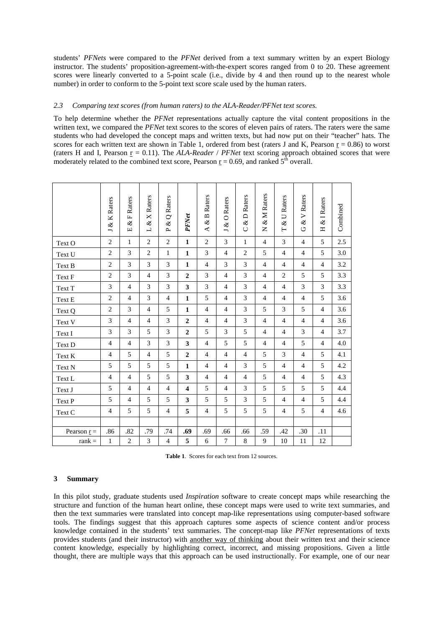students' *PFNets* were compared to the *PFNet* derived from a text summary written by an expert Biology instructor. The students' proposition-agreement-with-the-expert scores ranged from 0 to 20. These agreement scores were linearly converted to a 5-point scale (i.e., divide by 4 and then round up to the nearest whole number) in order to conform to the 5-point text score scale used by the human raters.

## *2.3 Comparing text scores (from human raters) to the ALA-Reader/PFNet text scores.*

To help determine whether the *PFNet* representations actually capture the vital content propositions in the written text, we compared the *PFNet* text scores to the scores of eleven pairs of raters. The raters were the same students who had developed the concept maps and written texts, but had now put on their "teacher" hats. The scores for each written text are shown in Table 1, ordered from best (raters J and K, Pearson  $r = 0.86$ ) to worst (raters H and I, Pearson  $r = 0.11$ ). The *ALA-Reader / PFNet* text scoring approach obtained scores that were moderately related to the combined text score, Pearson  $r = 0.69$ , and ranked  $5<sup>th</sup>$  overall.

|                                    | J & K Raters   | F Raters<br>$\otimes$<br>$\boxed{\mathbf{L}}$ | L & X Raters   | Q Raters<br>ž,<br>$\mathbf{r}$ | PFNet                   | <b>B</b> Raters<br>$\infty$<br>$\blacktriangleleft$ | O Raters<br>J& | & D Raters<br>$\cup$ | & M Raters<br>Z | & U Raters<br>$\vdash$ | V Raters<br>Š,<br>ڻ | & I Raters<br>Η | Combined |
|------------------------------------|----------------|-----------------------------------------------|----------------|--------------------------------|-------------------------|-----------------------------------------------------|----------------|----------------------|-----------------|------------------------|---------------------|-----------------|----------|
| Text O                             | $\overline{2}$ | $\mathbf{1}$                                  | $\mathbf{2}$   | $\overline{c}$                 | $\mathbf{1}$            | $\overline{2}$                                      | 3              | $\mathbf{1}$         | $\overline{4}$  | 3                      | $\overline{4}$      | 5               | 2.5      |
| Text U                             | $\overline{2}$ | 3                                             | $\overline{2}$ | $\mathbf{1}$                   | $\mathbf{1}$            | 3                                                   | $\overline{4}$ | $\overline{c}$       | 5               | $\overline{4}$         | $\overline{4}$      | 5               | 3.0      |
| Text B                             | $\overline{c}$ | 3                                             | 3              | 3                              | $\mathbf{1}$            | $\overline{4}$                                      | 3              | 3                    | $\overline{4}$  | $\overline{4}$         | $\overline{4}$      | $\overline{4}$  | 3.2      |
| Text F                             | $\mathbf{2}$   | 3                                             | $\overline{4}$ | 3                              | $\overline{2}$          | 3                                                   | $\overline{4}$ | 3                    | $\overline{4}$  | $\overline{c}$         | 5                   | 5               | 3.3      |
| Text T                             | 3              | $\overline{4}$                                | 3              | 3                              | 3                       | 3                                                   | $\overline{4}$ | 3                    | $\overline{4}$  | $\overline{4}$         | 3                   | 3               | 3.3      |
| Text E                             | $\mathbf{2}$   | $\overline{4}$                                | 3              | $\overline{4}$                 | $\mathbf{1}$            | 5                                                   | $\overline{4}$ | 3                    | $\overline{4}$  | $\overline{4}$         | $\overline{4}$      | 5               | 3.6      |
| Text Q                             | $\overline{2}$ | 3                                             | $\overline{4}$ | 5                              | $\mathbf{1}$            | $\overline{4}$                                      | $\overline{4}$ | 3                    | 5               | 3                      | 5                   | $\overline{4}$  | 3.6      |
| Text V                             | 3              | $\overline{4}$                                | $\overline{4}$ | 3                              | $\boldsymbol{2}$        | $\overline{4}$                                      | $\overline{4}$ | 3                    | $\overline{4}$  | $\overline{4}$         | $\overline{4}$      | $\overline{4}$  | 3.6      |
| Text I                             | 3              | 3                                             | 5              | 3                              | $\boldsymbol{2}$        | 5                                                   | 3              | 5                    | $\overline{4}$  | $\overline{4}$         | 3                   | $\overline{4}$  | 3.7      |
| Text D                             | $\overline{4}$ | $\overline{4}$                                | 3              | 3                              | $\overline{\mathbf{3}}$ | $\overline{4}$                                      | 5              | 5                    | $\overline{4}$  | $\overline{4}$         | 5                   | $\overline{4}$  | 4.0      |
| Text K                             | $\overline{4}$ | 5                                             | $\overline{4}$ | 5                              | $\boldsymbol{2}$        | $\overline{4}$                                      | $\overline{4}$ | $\overline{4}$       | 5               | 3                      | $\overline{4}$      | 5               | 4.1      |
| Text N                             | 5              | 5                                             | 5              | 5                              | $\mathbf{1}$            | $\overline{4}$                                      | $\overline{4}$ | 3                    | 5               | $\overline{4}$         | $\overline{4}$      | 5               | 4.2      |
| Text L                             | $\overline{4}$ | $\overline{4}$                                | 5              | 5                              | 3                       | $\overline{4}$                                      | $\overline{4}$ | $\overline{4}$       | 5               | $\overline{4}$         | $\overline{4}$      | 5               | 4.3      |
| Text J                             | 5              | $\overline{4}$                                | $\overline{4}$ | $\overline{4}$                 | $\overline{\mathbf{4}}$ | 5                                                   | $\overline{4}$ | 3                    | 5               | 5                      | 5                   | 5               | 4.4      |
| Text P                             | 5              | $\overline{4}$                                | 5              | 5                              | $\mathbf{3}$            | 5                                                   | 5              | 3                    | 5               | $\overline{4}$         | $\overline{4}$      | 5               | 4.4      |
| Text C                             | $\overline{4}$ | 5                                             | 5              | $\overline{4}$                 | 5                       | $\overline{4}$                                      | 5              | 5                    | 5               | $\overline{4}$         | 5                   | $\overline{4}$  | 4.6      |
|                                    |                |                                               |                |                                |                         |                                                     |                |                      |                 |                        |                     |                 |          |
| Pearson $\underline{\mathbf{r}} =$ | .86            | .82                                           | .79            | .74                            | .69                     | .69                                                 | .66            | .66                  | .59             | .42                    | .30                 | .11             |          |
| $rank =$                           | $\mathbf{1}$   | $\overline{c}$                                | 3              | $\overline{4}$                 | 5                       | 6                                                   | 7              | $\,$ 8 $\,$          | 9               | 10                     | 11                  | 12              |          |

**Table 1**. Scores for each text from 12 sources.

# **3 Summary**

In this pilot study, graduate students used *Inspiration* software to create concept maps while researching the structure and function of the human heart online, these concept maps were used to write text summaries, and then the text summaries were translated into concept map-like representations using computer-based software tools. The findings suggest that this approach captures some aspects of science content and/or process knowledge contained in the students' text summaries. The concept-map like *PFNet* representations of texts provides students (and their instructor) with another way of thinking about their written text and their science content knowledge, especially by highlighting correct, incorrect, and missing propositions. Given a little thought, there are multiple ways that this approach can be used instructionally. For example, one of our near